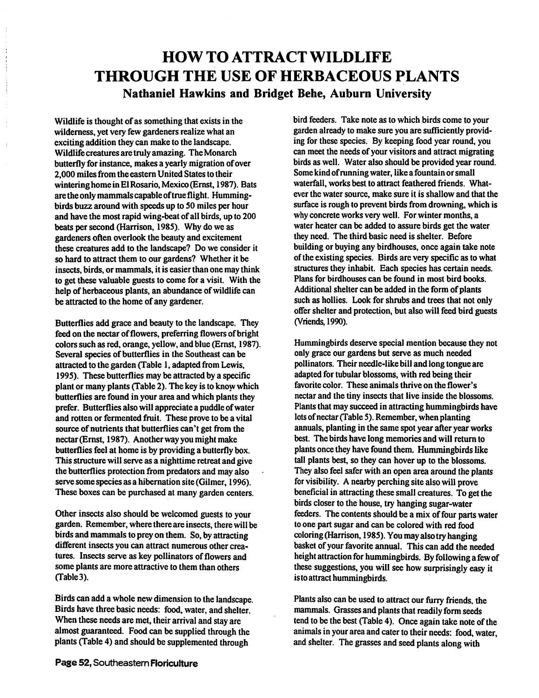### *HOW TO ATTRACTWILDLIFE THROUGH THE USE OF HERBACEOUS PLANTS Nathaniel Hawkins and Bridget Behe, Auburn University*

*Wildlife is thought ofas something that exists in the wilderness, yet very few gardeners realize what an exciting addition they can make to the landscape. Wildlife creatures aretruly amazing. The Monarch butterfly for instance, makes a yearly migration ofover 2,000 miles from the eastern United States to their winteringhome in El Rosario, Mexico (Ernst, 1987). Bats arethe only mammals capableoftrue flight. Humming birds buzz around with speeds up to 50 miles per hour and have the most rapid wing-beat ofall birds, up to 200 beats per second (Harrison, 1985). Why do we as gardenersoften overlook the beauty and excitement these creatures add to the landscape? Do we consider it so hard to attract them to our gardens? Whether it be insects, birds, or mammals, it is easier than one may think to get these valuable guests to come for a visit. With the* help of herbaceous plants, an abundance of wildlife can *be attracted to the home ofany gardener.*

*Butterflies add grace and beauty to the landscape. They feed on the nectar offlowers, preferring flowers ofbright colors such as red, orange, yellow, and blue (Ernst, 1987).* Several species of butterflies in the Southeast can be *attracted to the garden (Table 1, adapted from Lewis, 1995). These butterflies may be attracted by a specific plant or many plants (Table 2). The key is to know which butterflies are found in your area and which plants they prefer. Butterflies also will appreciate a puddle ofwater and rotten or fermented fruit. These prove to be a vital source ofnutrients that butterflies can't get from the nectar(Ernst, 1987). Anotherway you might make butterflies feel at home is by providing a butterfly box. This structure will serve as a nighttime retreatand give the butterflies protection from predatorsand may also serve some species as a hibernation site (Gilmer, 1996). These boxes can be purchased at many garden centers.*

*Other insectsalso shouldbe welcomed guests to your garden. Remember, where there are insects, there will be* birds and mammals to prey on them. So, by attracting *different insects you can attract numerous other crea tures.* Insects serve as key pollinators of flowers and *some plants are more attractive to them than others (Table3).*

*Birds can add awhole newdimension tothelandscape. Birds have three basic needs: food, water, and shelter.* When these needs are met, their arrival and stay are *almost guaranteed. Food canbe supplied through the plants (Table 4) andshould be supplemented through*

*bird feeders. Take note as to which birds come to your garden already to make sure you are sufficiently provid ing for these species. By keeping food year round, you can meet the needs ofyour visitors and attract migrating birds as well. Water also should be provided year round. Some kind ofrunningwater, like a fountain or small waterfall, works best to attract feathered friends. What ever the water source, make sure it is shallow and that the surface is rough to prevent birds from drowning, which is why concrete works very well. Forwinter months, a water heater can be added to assure birds get the water they need. The third basic need is shelter. Before building or buying any birdhouses, once again take note ofthe existing species. Birds are very specific as to what structures they inhabit. Each species has certain needs. Plans for birdhouses can be found in most bird books. Additional shelter can be added in the form of plants such as hollies. Look for shrubs and trees that not only offer shelter and protection, but also will feed bird guests (Vriends, 1990).*

*Hummingbirds deserve special mention because they not only grace our gardens but serve as much needed pollinators. Their needle-like bill and long tongue are adapted for tubular blossoms, with red being their favorite color. These animals thrive on the flower's nectar and the tiny insects that live inside the blossoms. Plants that may succeed in attracting hummingbirds have lotsofnectar(Table 5). Remember, when planting annuals, planting in the same spot year after year works* best. The birds have long memories and will return to plants once they have found them. Hummingbirds like *tall plants best, so they can hover up to the blossoms. They also feel saferwith an openarea around the plants for visibility. A nearby perching sitealsowill prove beneficial in attracting thesesmallcreatures. To getthe birdscloser to the house, try hanging sugar-water feeders. The contents should be a mix of four parts water to one part sugar and can be colored with red food coloring (Harrison, 1985).You mayalsotryhanging basket of your favorite annual. This can add the needed height attraction for hummingbirds. By following afew of these suggestions, you willsee how surprisingly easy it istoattracthummingbirds.*

*Plants* also can be used to attract our furry friends, the *mammals.* Grasses and plants that readily form seeds *tend to be the best (Table 4). Once again take note of the animals in your area andcaterto theirneeds: food, water, and shelter. The grasses andseed plants along with*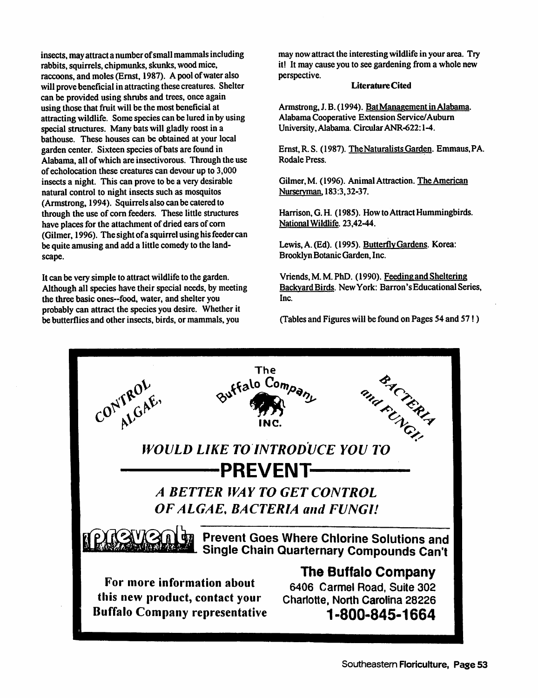*insects, mayattractanumberofsmallmammalsincluding rabbits, squirrels, chipmunks, skunks, woodmice, raccoons, and moles (Ernst, 1987). A poolofwateralso will provebeneficialin attracting thesecreatures. Shelter can be providedusing shrubs and trees, onceagain using thosethat fruit will be the most beneficial at attractingwildlife. Some speciescanbe luredin by using* special structures. Many bats will gladly roost in a *bathouse. These houses can be obtained at your local garden center. Sixteen speciesof batsarefound in Alabama, all ofwhich are insectivorous. Through the use ofecholocation these creatures can devour up to 3,000 insects a night. This can prove to be a very desirable natural control to night insects such as mosquitos* (Armstrong, 1994). Squirrels also can be catered to *through the use of corn feeders. These little structures have places for the attachment of dried earsof corn (Gilmer, 1996). The sight ofa squirrelusing hisfeeder can* be quite amusing and add a little comedy to the land*scape.*

*It can be very simple to attractwildlife to the garden.* Although all species have their special needs, by meeting *the three basic ones-food, water, and shelter you probably can attract the species you desire. Whetherit be butterflies and other insects, birds, or mammals, you*

*may now attract the interesting wildlife in your area. Try itl It may cause you to see gardening from a whole new perspective.*

#### *LiteratureCited*

*Armstrong, J.B. (1994). BatManagement in Alabama. AlabamaCooperative Extension Service/Auburn University, Alabama. Circular ANR-622:1-4.*

*Ernst, R.S. (1987). TheNaturalists Garden. Emmaus,PA. Rodale Press.*

*Gilmer, M. (1996). Animal Attraction. The American Nurseryman. 183:3,32-37.*

*Harrison, G.H. (1985). How to Attract Hummingbirds. National Wildlife. 23,42-44.*

*Lewis, A. (Ed). (1995). ButterflyGardens. Korea: BrooklynBotanic Garden, Inc.*

*Vriends,M.M.PhD. (1990). Feeding and Sheltering Backyard Birds. NewYork: Barron'sEducational Series, Inc.*

*(Tables and Figures will be found on Pages 54 and 57!)*

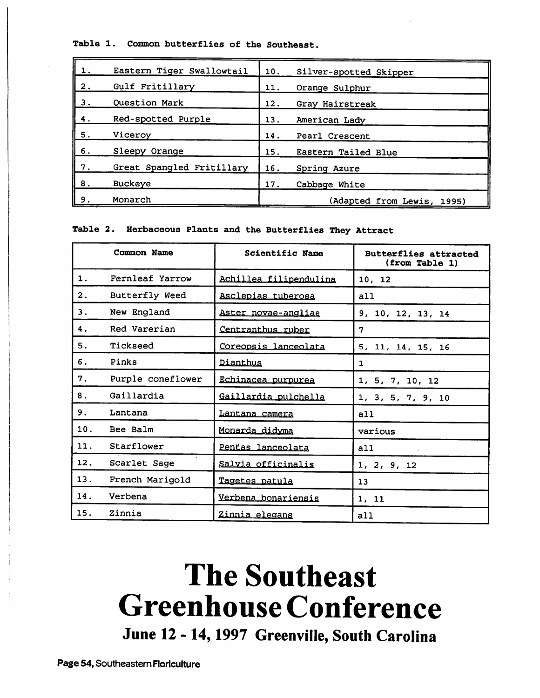Table 1. Common butterflies of the Southeast.

| 1. | Eastern Tiger Swallowtail | 10. | Silver-spotted Skipper     |
|----|---------------------------|-----|----------------------------|
| 2. | Gulf Fritillary           | 11. | Orange Sulphur             |
| З. | Question Mark             | 12. | Gray Hairstreak            |
| 4. | Red-spotted Purple        | 13. | American Lady              |
| 5. | Viceroy                   | 14. | Pearl Crescent             |
| 6. | Sleepy Orange             | 15. | Eastern Tailed Blue        |
| 7. | Great Spangled Fritillary | 16. | Spring Azure               |
| 8. | <b>Buckeye</b>            | 17. | Cabbage White              |
| 9. | Monarch                   |     | (Adapted from Lewis, 1995) |

Table 2. Herbaceous Plants and the Butterflies They Attract

|     | Common Name       | Scientific Name        | <b>Butterflies attracted</b><br>(from Table 1) |
|-----|-------------------|------------------------|------------------------------------------------|
| 1.  | Fernleaf Yarrow   | Achillea filipendulina | 10, 12                                         |
| 2.  | Butterfly Weed    | Asclepias tuberosa     | all                                            |
| З.  | New England       | Aster novae-angliae    | 9, 10, 12, 13, 14                              |
| 4.  | Red Varerian      | Centranthus ruber      | 7                                              |
| 5.  | Tickseed          | Coreopsis lanceolata   | 5, 11, 14, 15, 16                              |
| 6.  | Pinks             | Dianthus               | $\mathbf{1}$                                   |
| 7.  | Purple coneflower | Echinacea purpurea     | 1, 5, 7, 10, 12                                |
| 8.  | Gaillardia        | Gaillardia pulchella   | 1, 3, 5, 7, 9, 10                              |
| 9.  | Lantana           | Lantana camera         | a11                                            |
| 10. | Bee Balm          | Monarda didyma         | various                                        |
| 11. | Starflower        | Pentas lanceolata      | a11                                            |
| 12. | Scarlet Sage      | Salvia officinalis     | 1, 2, 9, 12                                    |
| 13. | French Marigold   | Tagetes patula         | 13                                             |
| 14. | Verbena           | Verbena bonariensis    | 1, 11                                          |
| 15. | Zinnia            | Zinnia elegans         | a11                                            |

## *The Southeast GreenhouseConference*

*June 12 -14,1997 Greenville, South Carolina*